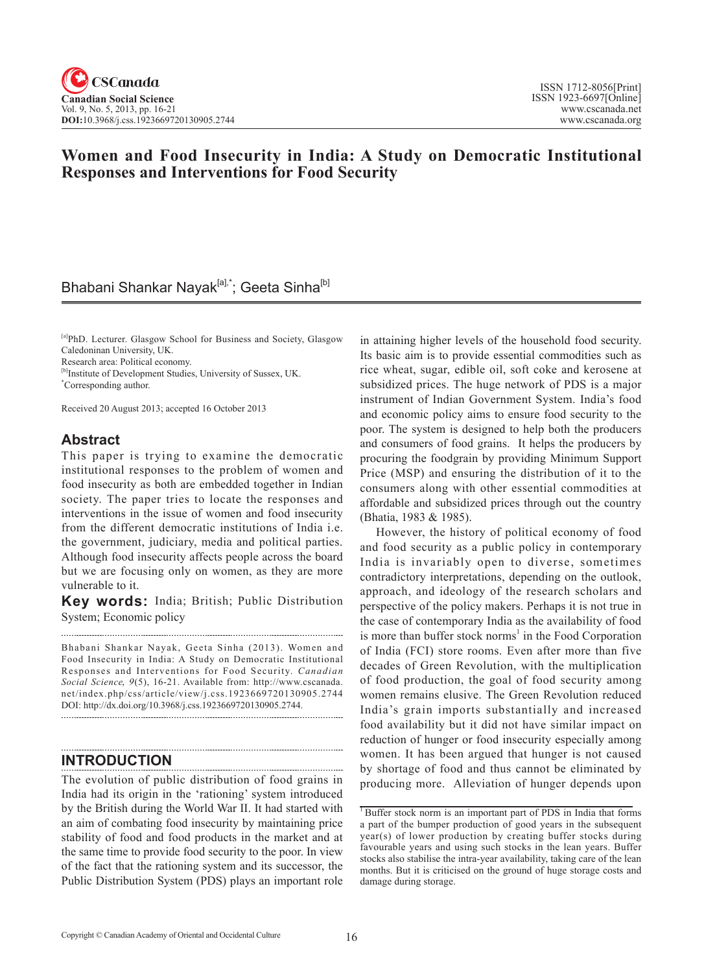## **Women and Food Insecurity in India: A Study on Democratic Institutional Responses and Interventions for Food Security**

## Bhabani Shankar Nayak<sup>[a],\*</sup>; Geeta Sinha<sup>[b]</sup>

[a]PhD. Lecturer. Glasgow School for Business and Society, Glasgow Caledoninan University, UK.

Research area: Political economy.

[b]Institute of Development Studies, University of Sussex, UK. \* Corresponding author.

Received 20 August 2013; accepted 16 October 2013

### **Abstract**

This paper is trying to examine the democratic institutional responses to the problem of women and food insecurity as both are embedded together in Indian society. The paper tries to locate the responses and interventions in the issue of women and food insecurity from the different democratic institutions of India i.e. the government, judiciary, media and political parties. Although food insecurity affects people across the board but we are focusing only on women, as they are more vulnerable to it.

**Key words:** India; British; Public Distribution System; Economic policy

Bhabani Shankar Nayak, Geeta Sinha (2013). Women and Food Insecurity in India: A Study on Democratic Institutional Responses and Interventions for Food Security. *Canadian Social Science*, 9(5), 16-21. Available from: http://www.cscanada. net/index.php/css/article/view/j.css.1923669720130905.2744 DOI: http://dx.doi.org/10.3968/j.css.1923669720130905.2744.

## **INTRODUCTION**

The evolution of public distribution of food grains in India had its origin in the 'rationing' system introduced by the British during the World War II. It had started with an aim of combating food insecurity by maintaining price stability of food and food products in the market and at the same time to provide food security to the poor. In view of the fact that the rationing system and its successor, the Public Distribution System (PDS) plays an important role

in attaining higher levels of the household food security. Its basic aim is to provide essential commodities such as rice wheat, sugar, edible oil, soft coke and kerosene at subsidized prices. The huge network of PDS is a major instrument of Indian Government System. India's food and economic policy aims to ensure food security to the poor. The system is designed to help both the producers and consumers of food grains. It helps the producers by procuring the foodgrain by providing Minimum Support Price (MSP) and ensuring the distribution of it to the consumers along with other essential commodities at affordable and subsidized prices through out the country (Bhatia, 1983 & 1985).

However, the history of political economy of food and food security as a public policy in contemporary India is invariably open to diverse, sometimes contradictory interpretations, depending on the outlook, approach, and ideology of the research scholars and perspective of the policy makers. Perhaps it is not true in the case of contemporary India as the availability of food is more than buffer stock norms<sup>1</sup> in the Food Corporation of India (FCI) store rooms. Even after more than five decades of Green Revolution, with the multiplication of food production, the goal of food security among women remains elusive. The Green Revolution reduced India's grain imports substantially and increased food availability but it did not have similar impact on reduction of hunger or food insecurity especially among women. It has been argued that hunger is not caused by shortage of food and thus cannot be eliminated by producing more. Alleviation of hunger depends upon

<sup>&</sup>lt;sup>1</sup> Buffer stock norm is an important part of PDS in India that forms a part of the bumper production of good years in the subsequent year(s) of lower production by creating buffer stocks during favourable years and using such stocks in the lean years. Buffer stocks also stabilise the intra-year availability, taking care of the lean months. But it is criticised on the ground of huge storage costs and damage during storage.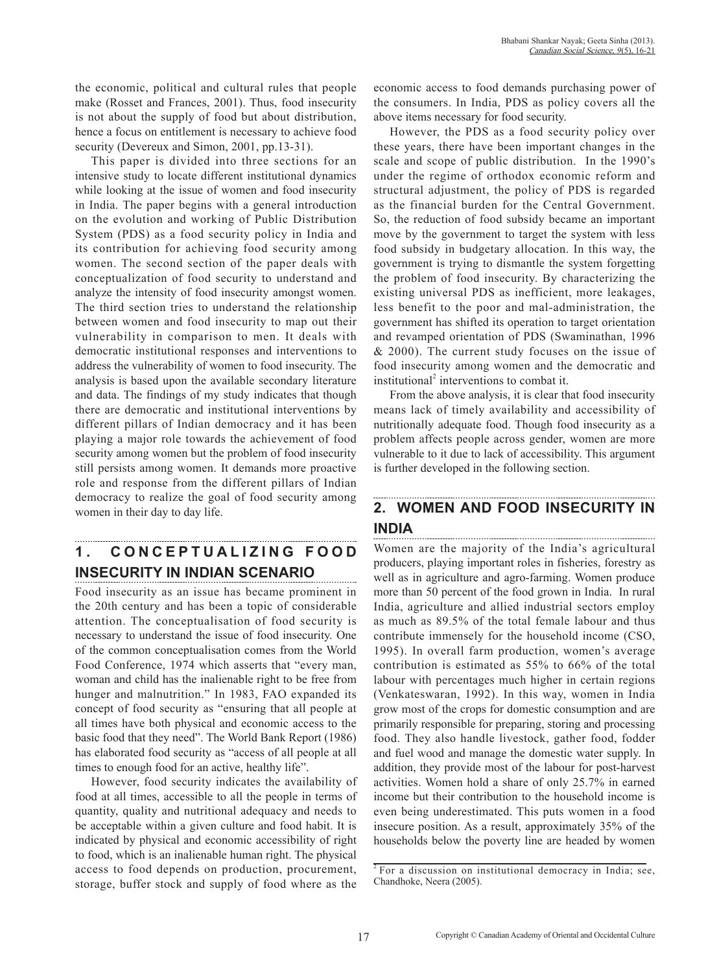the economic, political and cultural rules that people make (Rosset and Frances, 2001). Thus, food insecurity is not about the supply of food but about distribution, hence a focus on entitlement is necessary to achieve food security (Devereux and Simon, 2001, pp.13-31).

This paper is divided into three sections for an intensive study to locate different institutional dynamics while looking at the issue of women and food insecurity in India. The paper begins with a general introduction on the evolution and working of Public Distribution System (PDS) as a food security policy in India and its contribution for achieving food security among women. The second section of the paper deals with conceptualization of food security to understand and analyze the intensity of food insecurity amongst women. The third section tries to understand the relationship between women and food insecurity to map out their vulnerability in comparison to men. It deals with democratic institutional responses and interventions to address the vulnerability of women to food insecurity. The analysis is based upon the available secondary literature and data. The findings of my study indicates that though there are democratic and institutional interventions by different pillars of Indian democracy and it has been playing a major role towards the achievement of food security among women but the problem of food insecurity still persists among women. It demands more proactive role and response from the different pillars of Indian democracy to realize the goal of food security among women in their day to day life.

## **1. C O N C E P T U A L I Z I N G F O O D INSECURITY IN INDIAN SCENARIO**

Food insecurity as an issue has became prominent in the 20th century and has been a topic of considerable attention. The conceptualisation of food security is necessary to understand the issue of food insecurity. One of the common conceptualisation comes from the World Food Conference, 1974 which asserts that "every man, woman and child has the inalienable right to be free from hunger and malnutrition." In 1983, FAO expanded its concept of food security as "ensuring that all people at all times have both physical and economic access to the basic food that they need". The World Bank Report (1986) has elaborated food security as "access of all people at all times to enough food for an active, healthy life".

However, food security indicates the availability of food at all times, accessible to all the people in terms of quantity, quality and nutritional adequacy and needs to be acceptable within a given culture and food habit. It is indicated by physical and economic accessibility of right to food, which is an inalienable human right. The physical access to food depends on production, procurement, storage, buffer stock and supply of food where as the

economic access to food demands purchasing power of the consumers. In India, PDS as policy covers all the above items necessary for food security.

However, the PDS as a food security policy over these years, there have been important changes in the scale and scope of public distribution. In the 1990's under the regime of orthodox economic reform and structural adjustment, the policy of PDS is regarded as the financial burden for the Central Government. So, the reduction of food subsidy became an important move by the government to target the system with less food subsidy in budgetary allocation. In this way, the government is trying to dismantle the system forgetting the problem of food insecurity. By characterizing the existing universal PDS as inefficient, more leakages, less benefit to the poor and mal-administration, the government has shifted its operation to target orientation and revamped orientation of PDS (Swaminathan, 1996 & 2000). The current study focuses on the issue of food insecurity among women and the democratic and institutional<sup>2</sup> interventions to combat it.

From the above analysis, it is clear that food insecurity means lack of timely availability and accessibility of nutritionally adequate food. Though food insecurity as a problem affects people across gender, women are more vulnerable to it due to lack of accessibility. This argument is further developed in the following section.

# **2. WOMEN AND FOOD INSECURITY IN INDIA**

Women are the majority of the India's agricultural producers, playing important roles in fisheries, forestry as well as in agriculture and agro-farming. Women produce more than 50 percent of the food grown in India. In rural India, agriculture and allied industrial sectors employ as much as 89.5% of the total female labour and thus contribute immensely for the household income (CSO, 1995). In overall farm production, women's average contribution is estimated as 55% to 66% of the total labour with percentages much higher in certain regions (Venkateswaran, 1992). In this way, women in India grow most of the crops for domestic consumption and are primarily responsible for preparing, storing and processing food. They also handle livestock, gather food, fodder and fuel wood and manage the domestic water supply. In addition, they provide most of the labour for post-harvest activities. Women hold a share of only 25.7% in earned income but their contribution to the household income is even being underestimated. This puts women in a food insecure position. As a result, approximately 35% of the households below the poverty line are headed by women

<sup>&</sup>lt;sup>2</sup> For a discussion on institutional democracy in India; see, Chandhoke, Neera (2005).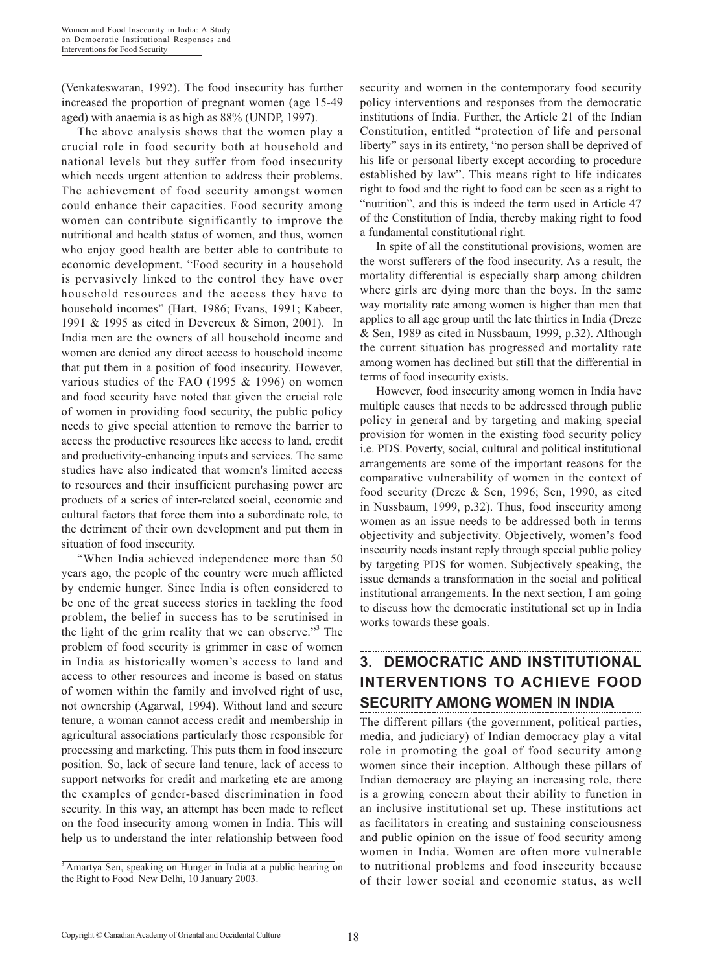(Venkateswaran, 1992). The food insecurity has further increased the proportion of pregnant women (age 15-49 aged) with anaemia is as high as 88% (UNDP, 1997).

The above analysis shows that the women play a crucial role in food security both at household and national levels but they suffer from food insecurity which needs urgent attention to address their problems. The achievement of food security amongst women could enhance their capacities. Food security among women can contribute significantly to improve the nutritional and health status of women, and thus, women who enjoy good health are better able to contribute to economic development. "Food security in a household is pervasively linked to the control they have over household resources and the access they have to household incomes" (Hart, 1986; Evans, 1991; Kabeer, 1991 & 1995 as cited in Devereux & Simon, 2001). In India men are the owners of all household income and women are denied any direct access to household income that put them in a position of food insecurity. However, various studies of the FAO (1995 & 1996) on women and food security have noted that given the crucial role of women in providing food security, the public policy needs to give special attention to remove the barrier to access the productive resources like access to land, credit and productivity-enhancing inputs and services. The same studies have also indicated that women's limited access to resources and their insufficient purchasing power are products of a series of inter-related social, economic and cultural factors that force them into a subordinate role, to the detriment of their own development and put them in situation of food insecurity.

"When India achieved independence more than 50 years ago, the people of the country were much afflicted by endemic hunger. Since India is often considered to be one of the great success stories in tackling the food problem, the belief in success has to be scrutinised in the light of the grim reality that we can observe."<sup>3</sup> The problem of food security is grimmer in case of women in India as historically women's access to land and access to other resources and income is based on status of women within the family and involved right of use, not ownership (Agarwal, 1994**)**. Without land and secure tenure, a woman cannot access credit and membership in agricultural associations particularly those responsible for processing and marketing. This puts them in food insecure position. So, lack of secure land tenure, lack of access to support networks for credit and marketing etc are among the examples of gender-based discrimination in food security. In this way, an attempt has been made to reflect on the food insecurity among women in India. This will help us to understand the inter relationship between food

security and women in the contemporary food security policy interventions and responses from the democratic institutions of India. Further, the Article 21 of the Indian Constitution, entitled "protection of life and personal liberty" says in its entirety, "no person shall be deprived of his life or personal liberty except according to procedure established by law". This means right to life indicates right to food and the right to food can be seen as a right to "nutrition", and this is indeed the term used in Article 47 of the Constitution of India, thereby making right to food a fundamental constitutional right.

In spite of all the constitutional provisions, women are the worst sufferers of the food insecurity. As a result, the mortality differential is especially sharp among children where girls are dying more than the boys. In the same way mortality rate among women is higher than men that applies to all age group until the late thirties in India (Dreze & Sen, 1989 as cited in Nussbaum, 1999, p.32). Although the current situation has progressed and mortality rate among women has declined but still that the differential in terms of food insecurity exists.

However, food insecurity among women in India have multiple causes that needs to be addressed through public policy in general and by targeting and making special provision for women in the existing food security policy i.e. PDS. Poverty, social, cultural and political institutional arrangements are some of the important reasons for the comparative vulnerability of women in the context of food security (Dreze & Sen, 1996; Sen, 1990, as cited in Nussbaum, 1999, p.32). Thus, food insecurity among women as an issue needs to be addressed both in terms objectivity and subjectivity. Objectively, women's food insecurity needs instant reply through special public policy by targeting PDS for women. Subjectively speaking, the issue demands a transformation in the social and political institutional arrangements. In the next section, I am going to discuss how the democratic institutional set up in India works towards these goals.

## **3. DEMOCRATIC AND INSTITUTIONAL INTERVENTIONS TO ACHIEVE FOOD SECURITY AMONG WOMEN IN INDIA**

The different pillars (the government, political parties, media, and judiciary) of Indian democracy play a vital role in promoting the goal of food security among women since their inception. Although these pillars of Indian democracy are playing an increasing role, there is a growing concern about their ability to function in an inclusive institutional set up. These institutions act as facilitators in creating and sustaining consciousness and public opinion on the issue of food security among women in India. Women are often more vulnerable to nutritional problems and food insecurity because of their lower social and economic status, as well

<sup>&</sup>lt;sup>3</sup> Amartya Sen, speaking on Hunger in India at a public hearing on the Right to Food New Delhi, 10 January 2003.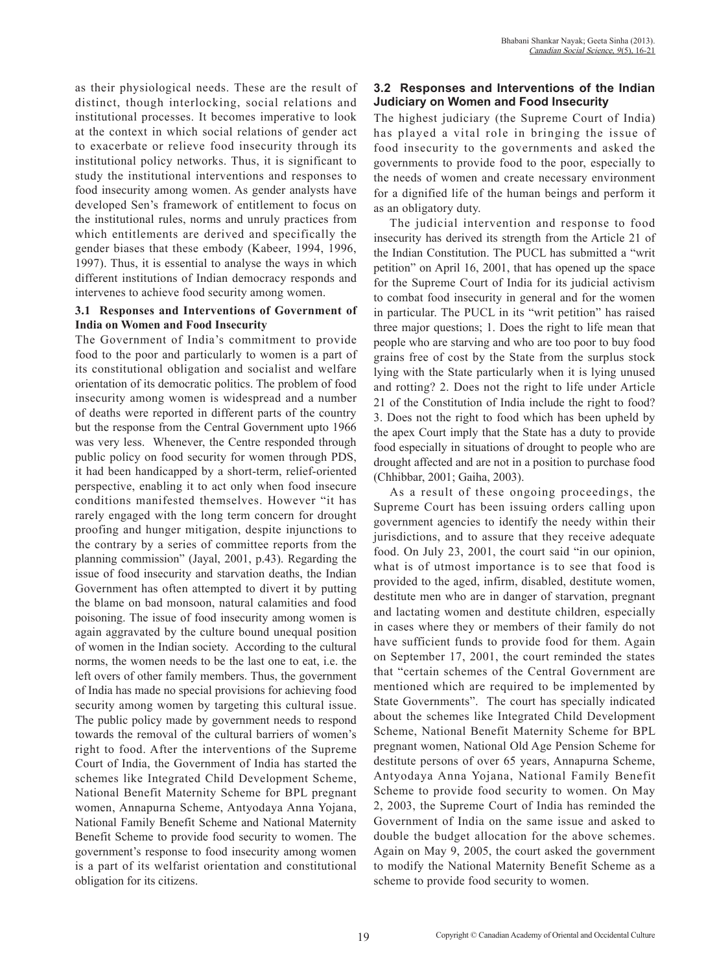as their physiological needs. These are the result of distinct, though interlocking, social relations and institutional processes. It becomes imperative to look at the context in which social relations of gender act to exacerbate or relieve food insecurity through its institutional policy networks. Thus, it is significant to study the institutional interventions and responses to food insecurity among women. As gender analysts have developed Sen's framework of entitlement to focus on the institutional rules, norms and unruly practices from which entitlements are derived and specifically the gender biases that these embody (Kabeer, 1994, 1996, 1997). Thus, it is essential to analyse the ways in which different institutions of Indian democracy responds and intervenes to achieve food security among women.

#### **3.1 Responses and Interventions of Government of India on Women and Food Insecurity**

The Government of India's commitment to provide food to the poor and particularly to women is a part of its constitutional obligation and socialist and welfare orientation of its democratic politics. The problem of food insecurity among women is widespread and a number of deaths were reported in different parts of the country but the response from the Central Government upto 1966 was very less. Whenever, the Centre responded through public policy on food security for women through PDS, it had been handicapped by a short-term, relief-oriented perspective, enabling it to act only when food insecure conditions manifested themselves. However "it has rarely engaged with the long term concern for drought proofing and hunger mitigation, despite injunctions to the contrary by a series of committee reports from the planning commission" (Jayal, 2001, p.43). Regarding the issue of food insecurity and starvation deaths, the Indian Government has often attempted to divert it by putting the blame on bad monsoon, natural calamities and food poisoning. The issue of food insecurity among women is again aggravated by the culture bound unequal position of women in the Indian society. According to the cultural norms, the women needs to be the last one to eat, i.e. the left overs of other family members. Thus, the government of India has made no special provisions for achieving food security among women by targeting this cultural issue. The public policy made by government needs to respond towards the removal of the cultural barriers of women's right to food. After the interventions of the Supreme Court of India, the Government of India has started the schemes like Integrated Child Development Scheme, National Benefit Maternity Scheme for BPL pregnant women, Annapurna Scheme, Antyodaya Anna Yojana, National Family Benefit Scheme and National Maternity Benefit Scheme to provide food security to women. The government's response to food insecurity among women is a part of its welfarist orientation and constitutional obligation for its citizens.

### **3.2 Responses and Interventions of the Indian Judiciary on Women and Food Insecurity**

The highest judiciary (the Supreme Court of India) has played a vital role in bringing the issue of food insecurity to the governments and asked the governments to provide food to the poor, especially to the needs of women and create necessary environment for a dignified life of the human beings and perform it as an obligatory duty.

The judicial intervention and response to food insecurity has derived its strength from the Article 21 of the Indian Constitution. The PUCL has submitted a "writ petition" on April 16, 2001, that has opened up the space for the Supreme Court of India for its judicial activism to combat food insecurity in general and for the women in particular. The PUCL in its "writ petition" has raised three major questions; 1. Does the right to life mean that people who are starving and who are too poor to buy food grains free of cost by the State from the surplus stock lying with the State particularly when it is lying unused and rotting? 2. Does not the right to life under Article 21 of the Constitution of India include the right to food? 3. Does not the right to food which has been upheld by the apex Court imply that the State has a duty to provide food especially in situations of drought to people who are drought affected and are not in a position to purchase food (Chhibbar, 2001; Gaiha, 2003).

As a result of these ongoing proceedings, the Supreme Court has been issuing orders calling upon government agencies to identify the needy within their jurisdictions, and to assure that they receive adequate food. On July 23, 2001, the court said "in our opinion, what is of utmost importance is to see that food is provided to the aged, infirm, disabled, destitute women, destitute men who are in danger of starvation, pregnant and lactating women and destitute children, especially in cases where they or members of their family do not have sufficient funds to provide food for them. Again on September 17, 2001, the court reminded the states that "certain schemes of the Central Government are mentioned which are required to be implemented by State Governments". The court has specially indicated about the schemes like Integrated Child Development Scheme, National Benefit Maternity Scheme for BPL pregnant women, National Old Age Pension Scheme for destitute persons of over 65 years, Annapurna Scheme, Antyodaya Anna Yojana, National Family Benefit Scheme to provide food security to women. On May 2, 2003, the Supreme Court of India has reminded the Government of India on the same issue and asked to double the budget allocation for the above schemes. Again on May 9, 2005, the court asked the government to modify the National Maternity Benefit Scheme as a scheme to provide food security to women.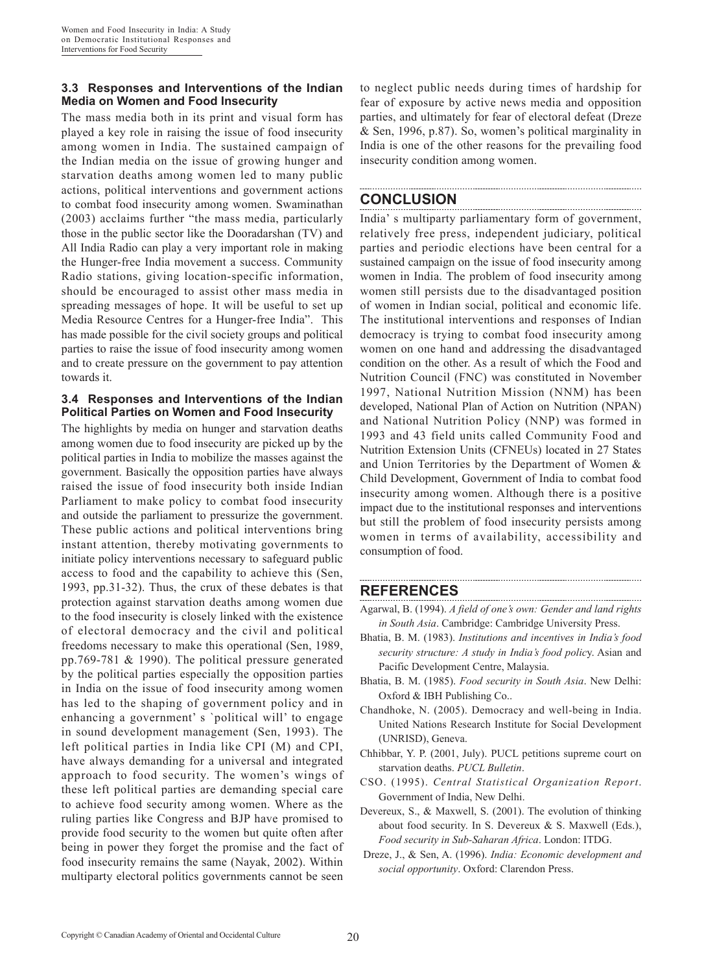#### **3.3 Responses and Interventions of the Indian Media on Women and Food Insecurity**

The mass media both in its print and visual form has played a key role in raising the issue of food insecurity among women in India. The sustained campaign of the Indian media on the issue of growing hunger and starvation deaths among women led to many public actions, political interventions and government actions to combat food insecurity among women. Swaminathan (2003) acclaims further "the mass media, particularly those in the public sector like the Dooradarshan (TV) and All India Radio can play a very important role in making the Hunger-free India movement a success. Community Radio stations, giving location-specific information, should be encouraged to assist other mass media in spreading messages of hope. It will be useful to set up Media Resource Centres for a Hunger-free India". This has made possible for the civil society groups and political parties to raise the issue of food insecurity among women and to create pressure on the government to pay attention towards it.

#### **3.4 Responses and Interventions of the Indian Political Parties on Women and Food Insecurity**

The highlights by media on hunger and starvation deaths among women due to food insecurity are picked up by the political parties in India to mobilize the masses against the government. Basically the opposition parties have always raised the issue of food insecurity both inside Indian Parliament to make policy to combat food insecurity and outside the parliament to pressurize the government. These public actions and political interventions bring instant attention, thereby motivating governments to initiate policy interventions necessary to safeguard public access to food and the capability to achieve this (Sen, 1993, pp.31-32). Thus, the crux of these debates is that protection against starvation deaths among women due to the food insecurity is closely linked with the existence of electoral democracy and the civil and political freedoms necessary to make this operational (Sen, 1989, pp.769-781 & 1990). The political pressure generated by the political parties especially the opposition parties in India on the issue of food insecurity among women has led to the shaping of government policy and in enhancing a government' s `political will' to engage in sound development management (Sen, 1993). The left political parties in India like CPI (M) and CPI, have always demanding for a universal and integrated approach to food security. The women's wings of these left political parties are demanding special care to achieve food security among women. Where as the ruling parties like Congress and BJP have promised to provide food security to the women but quite often after being in power they forget the promise and the fact of food insecurity remains the same (Nayak, 2002). Within multiparty electoral politics governments cannot be seen

to neglect public needs during times of hardship for fear of exposure by active news media and opposition parties, and ultimately for fear of electoral defeat (Dreze & Sen, 1996, p.87). So, women's political marginality in India is one of the other reasons for the prevailing food insecurity condition among women.

## **CONCLUSION**

India' s multiparty parliamentary form of government, relatively free press, independent judiciary, political parties and periodic elections have been central for a sustained campaign on the issue of food insecurity among women in India. The problem of food insecurity among women still persists due to the disadvantaged position of women in Indian social, political and economic life. The institutional interventions and responses of Indian democracy is trying to combat food insecurity among women on one hand and addressing the disadvantaged condition on the other. As a result of which the Food and Nutrition Council (FNC) was constituted in November 1997, National Nutrition Mission (NNM) has been developed, National Plan of Action on Nutrition (NPAN) and National Nutrition Policy (NNP) was formed in 1993 and 43 field units called Community Food and Nutrition Extension Units (CFNEUs) located in 27 States and Union Territories by the Department of Women & Child Development, Government of India to combat food insecurity among women. Although there is a positive impact due to the institutional responses and interventions but still the problem of food insecurity persists among women in terms of availability, accessibility and consumption of food.

## **REFERENCES**

- Agarwal, B. (1994). *A field of one's own: Gender and land rights in South Asia*. Cambridge: Cambridge University Press.
- Bhatia, B. M. (1983). *Institutions and incentives in India's food security structure: A study in India's food polic*y. Asian and Pacific Development Centre, Malaysia.
- Bhatia, B. M. (1985). *Food security in South Asia*. New Delhi: Oxford & IBH Publishing Co..
- Chandhoke, N. (2005). Democracy and well-being in India. United Nations Research Institute for Social Development (UNRISD), Geneva.
- Chhibbar, Y. P. (2001, July). PUCL petitions supreme court on starvation deaths. *PUCL Bulletin*.
- CSO. (1995). *Central Statistical Organization Report*. Government of India, New Delhi.
- Devereux, S., & Maxwell, S. (2001). The evolution of thinking about food security. In S. Devereux & S. Maxwell (Eds.), *Food security in Sub-Saharan Africa*. London: ITDG.
- Dreze, J., & Sen, A. (1996). *India: Economic development and social opportunity*. Oxford: Clarendon Press.